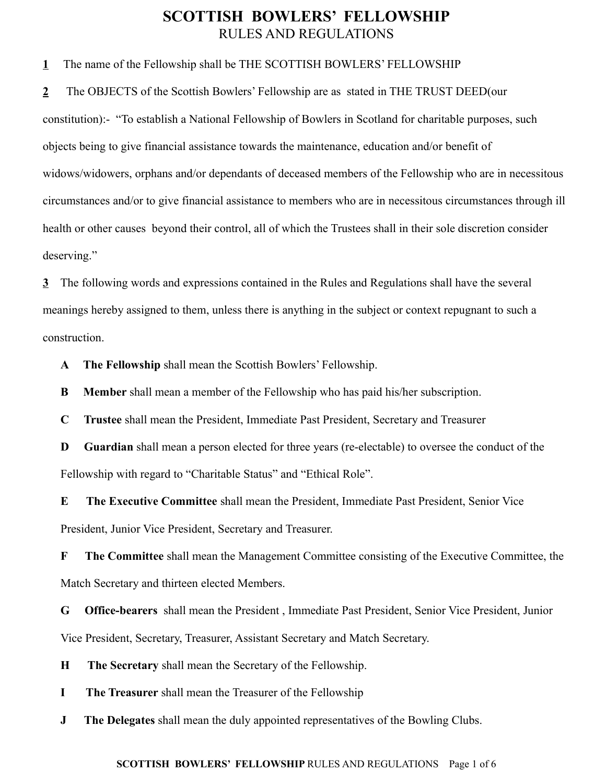## **SCOTTISH BOWLERS' FELLOWSHIP** RULES AND REGULATIONS

**1** The name of the Fellowship shall be THE SCOTTISH BOWLERS' FELLOWSHIP

**2** The OBJECTS of the Scottish Bowlers' Fellowship are as stated in THE TRUST DEED(our constitution):- "To establish a National Fellowship of Bowlers in Scotland for charitable purposes, such objects being to give financial assistance towards the maintenance, education and/or benefit of widows/widowers, orphans and/or dependants of deceased members of the Fellowship who are in necessitous circumstances and/or to give financial assistance to members who are in necessitous circumstances through ill health or other causes beyond their control, all of which the Trustees shall in their sole discretion consider deserving."

**3** The following words and expressions contained in the Rules and Regulations shall have the several meanings hereby assigned to them, unless there is anything in the subject or context repugnant to such a construction.

**A The Fellowship** shall mean the Scottish Bowlers' Fellowship.

**B Member** shall mean a member of the Fellowship who has paid his/her subscription.

**C Trustee** shall mean the President, Immediate Past President, Secretary and Treasurer

**D Guardian** shall mean a person elected for three years (re-electable) to oversee the conduct of the Fellowship with regard to "Charitable Status" and "Ethical Role".

**E The Executive Committee** shall mean the President, Immediate Past President, Senior Vice President, Junior Vice President, Secretary and Treasurer.

**F The Committee** shall mean the Management Committee consisting of the Executive Committee, the Match Secretary and thirteen elected Members.

**G Office-bearers** shall mean the President , Immediate Past President, Senior Vice President, Junior Vice President, Secretary, Treasurer, Assistant Secretary and Match Secretary.

**H The Secretary** shall mean the Secretary of the Fellowship.

**I The Treasurer** shall mean the Treasurer of the Fellowship

**J The Delegates** shall mean the duly appointed representatives of the Bowling Clubs.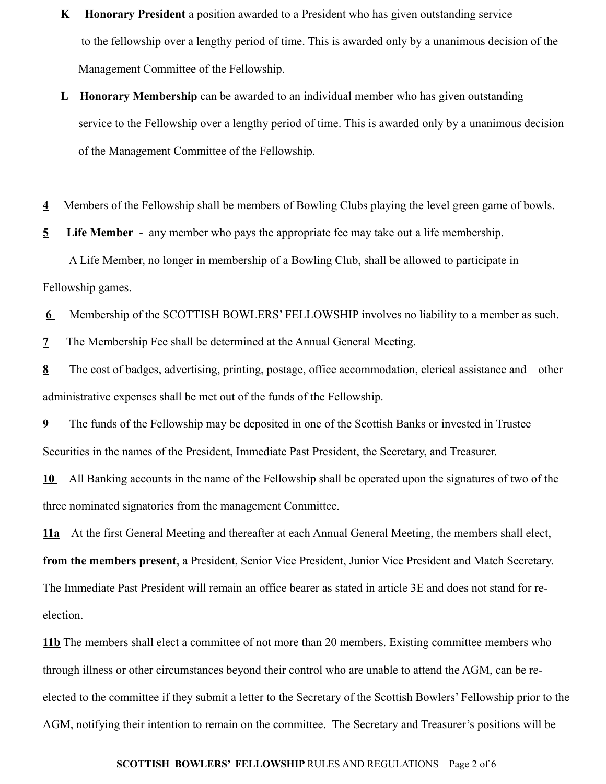- **K Honorary President** a position awarded to a President who has given outstanding service to the fellowship over a lengthy period of time. This is awarded only by a unanimous decision of the Management Committee of the Fellowship.
- **L Honorary Membership** can be awarded to an individual member who has given outstanding service to the Fellowship over a lengthy period of time. This is awarded only by a unanimous decision of the Management Committee of the Fellowship.
- **4** Members of the Fellowship shall be members of Bowling Clubs playing the level green game of bowls.

**5 Life Member** - any member who pays the appropriate fee may take out a life membership.

 A Life Member, no longer in membership of a Bowling Club, shall be allowed to participate in Fellowship games.

**6** Membership of the SCOTTISH BOWLERS' FELLOWSHIP involves no liability to a member as such.

**7** The Membership Fee shall be determined at the Annual General Meeting.

**8** The cost of badges, advertising, printing, postage, office accommodation, clerical assistance and other administrative expenses shall be met out of the funds of the Fellowship.

**9** The funds of the Fellowship may be deposited in one of the Scottish Banks or invested in Trustee Securities in the names of the President, Immediate Past President, the Secretary, and Treasurer.

**10** All Banking accounts in the name of the Fellowship shall be operated upon the signatures of two of the three nominated signatories from the management Committee.

**11a** At the first General Meeting and thereafter at each Annual General Meeting, the members shall elect, **from the members present**, a President, Senior Vice President, Junior Vice President and Match Secretary. The Immediate Past President will remain an office bearer as stated in article 3E and does not stand for reelection.

**11b** The members shall elect a committee of not more than 20 members. Existing committee members who through illness or other circumstances beyond their control who are unable to attend the AGM, can be reelected to the committee if they submit a letter to the Secretary of the Scottish Bowlers' Fellowship prior to the AGM, notifying their intention to remain on the committee. The Secretary and Treasurer's positions will be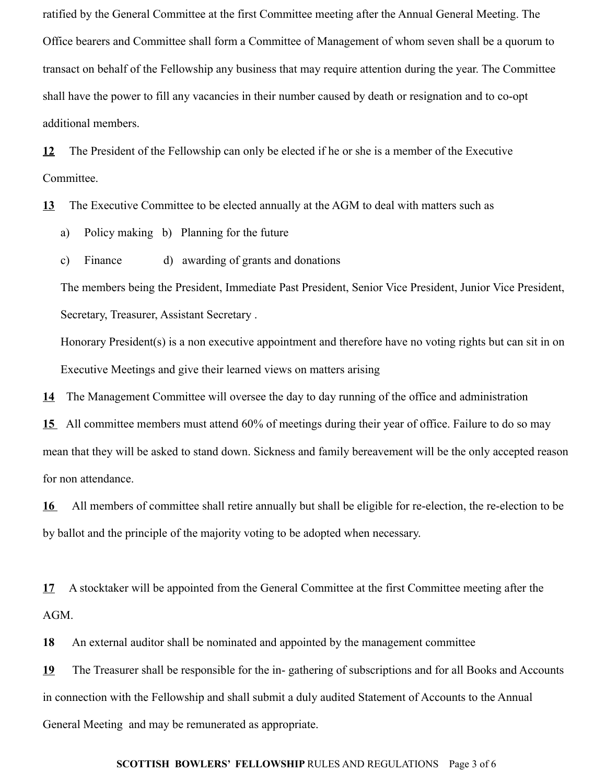ratified by the General Committee at the first Committee meeting after the Annual General Meeting. The Office bearers and Committee shall form a Committee of Management of whom seven shall be a quorum to transact on behalf of the Fellowship any business that may require attention during the year. The Committee shall have the power to fill any vacancies in their number caused by death or resignation and to co-opt additional members.

**12** The President of the Fellowship can only be elected if he or she is a member of the Executive Committee.

**13** The Executive Committee to be elected annually at the AGM to deal with matters such as

- a) Policy making b) Planning for the future
- c) Finance d) awarding of grants and donations

The members being the President, Immediate Past President, Senior Vice President, Junior Vice President, Secretary, Treasurer, Assistant Secretary .

Honorary President(s) is a non executive appointment and therefore have no voting rights but can sit in on Executive Meetings and give their learned views on matters arising

**14** The Management Committee will oversee the day to day running of the office and administration

 **15** All committee members must attend 60% of meetings during their year of office. Failure to do so may mean that they will be asked to stand down. Sickness and family bereavement will be the only accepted reason for non attendance.

 **16** All members of committee shall retire annually but shall be eligible for re-election, the re-election to be by ballot and the principle of the majority voting to be adopted when necessary.

**17** A stocktaker will be appointed from the General Committee at the first Committee meeting after the AGM.

**18** An external auditor shall be nominated and appointed by the management committee

**19** The Treasurer shall be responsible for the in- gathering of subscriptions and for all Books and Accounts in connection with the Fellowship and shall submit a duly audited Statement of Accounts to the Annual General Meeting and may be remunerated as appropriate.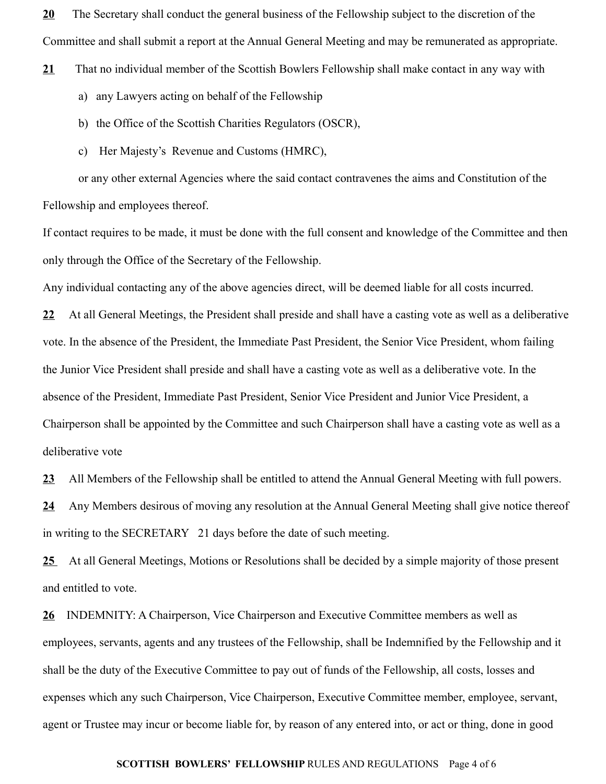**20** The Secretary shall conduct the general business of the Fellowship subject to the discretion of the Committee and shall submit a report at the Annual General Meeting and may be remunerated as appropriate.

- **21** That no individual member of the Scottish Bowlers Fellowship shall make contact in any way with
	- a) any Lawyers acting on behalf of the Fellowship
	- b) the Office of the Scottish Charities Regulators (OSCR),
	- c) Her Majesty's Revenue and Customs (HMRC),

 or any other external Agencies where the said contact contravenes the aims and Constitution of the Fellowship and employees thereof.

If contact requires to be made, it must be done with the full consent and knowledge of the Committee and then only through the Office of the Secretary of the Fellowship.

Any individual contacting any of the above agencies direct, will be deemed liable for all costs incurred.

**22** At all General Meetings, the President shall preside and shall have a casting vote as well as a deliberative vote. In the absence of the President, the Immediate Past President, the Senior Vice President, whom failing the Junior Vice President shall preside and shall have a casting vote as well as a deliberative vote. In the absence of the President, Immediate Past President, Senior Vice President and Junior Vice President, a Chairperson shall be appointed by the Committee and such Chairperson shall have a casting vote as well as a deliberative vote

**23** All Members of the Fellowship shall be entitled to attend the Annual General Meeting with full powers.

**24** Any Members desirous of moving any resolution at the Annual General Meeting shall give notice thereof in writing to the SECRETARY 21 days before the date of such meeting.

**25** At all General Meetings, Motions or Resolutions shall be decided by a simple majority of those present and entitled to vote.

**26** INDEMNITY: A Chairperson, Vice Chairperson and Executive Committee members as well as employees, servants, agents and any trustees of the Fellowship, shall be Indemnified by the Fellowship and it shall be the duty of the Executive Committee to pay out of funds of the Fellowship, all costs, losses and expenses which any such Chairperson, Vice Chairperson, Executive Committee member, employee, servant, agent or Trustee may incur or become liable for, by reason of any entered into, or act or thing, done in good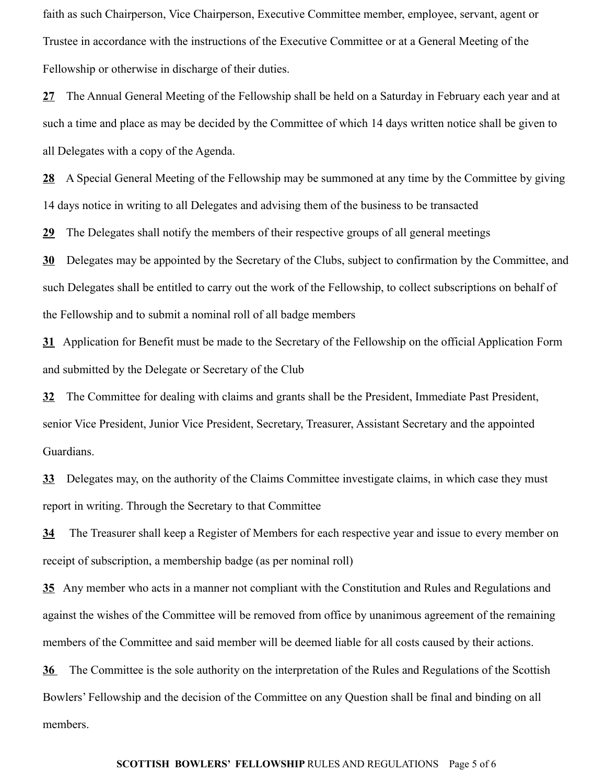faith as such Chairperson, Vice Chairperson, Executive Committee member, employee, servant, agent or Trustee in accordance with the instructions of the Executive Committee or at a General Meeting of the Fellowship or otherwise in discharge of their duties.

**27** The Annual General Meeting of the Fellowship shall be held on a Saturday in February each year and at such a time and place as may be decided by the Committee of which 14 days written notice shall be given to all Delegates with a copy of the Agenda.

**28** A Special General Meeting of the Fellowship may be summoned at any time by the Committee by giving 14 days notice in writing to all Delegates and advising them of the business to be transacted

**29** The Delegates shall notify the members of their respective groups of all general meetings

**30** Delegates may be appointed by the Secretary of the Clubs, subject to confirmation by the Committee, and such Delegates shall be entitled to carry out the work of the Fellowship, to collect subscriptions on behalf of the Fellowship and to submit a nominal roll of all badge members

**31** Application for Benefit must be made to the Secretary of the Fellowship on the official Application Form and submitted by the Delegate or Secretary of the Club

**32** The Committee for dealing with claims and grants shall be the President, Immediate Past President, senior Vice President, Junior Vice President, Secretary, Treasurer, Assistant Secretary and the appointed Guardians.

**33** Delegates may, on the authority of the Claims Committee investigate claims, in which case they must report in writing. Through the Secretary to that Committee

**34** The Treasurer shall keep a Register of Members for each respective year and issue to every member on receipt of subscription, a membership badge (as per nominal roll)

**35** Any member who acts in a manner not compliant with the Constitution and Rules and Regulations and against the wishes of the Committee will be removed from office by unanimous agreement of the remaining members of the Committee and said member will be deemed liable for all costs caused by their actions.

**36** The Committee is the sole authority on the interpretation of the Rules and Regulations of the Scottish Bowlers' Fellowship and the decision of the Committee on any Question shall be final and binding on all members.